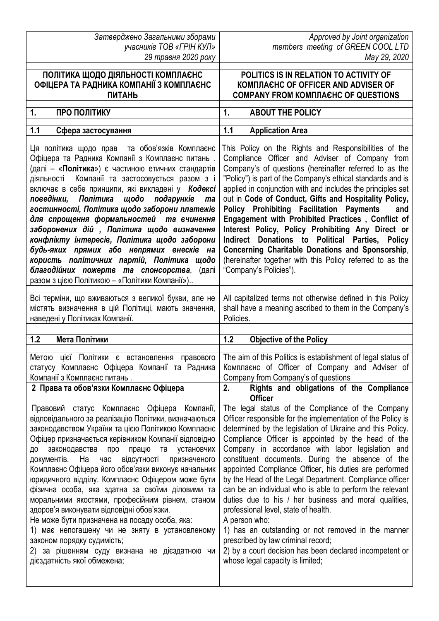*Затверджено Загальними зборами учасників ТОВ «ГРІН КУЛ»*

*Approved by Joint organization members meeting of GREEN COOL LTD* 

| 29 травня 2020 року                                                                                                                                                                                                                                                                                                                                                                                                                                                                                                                                                                                                                                                                                                                                                                                                                                    | May 29, 2020                                                                                                                                                                                                                                                                                                                                                                                                                                                                                                                                                                                                                                                                                                                                                                                                                                                                                                  |
|--------------------------------------------------------------------------------------------------------------------------------------------------------------------------------------------------------------------------------------------------------------------------------------------------------------------------------------------------------------------------------------------------------------------------------------------------------------------------------------------------------------------------------------------------------------------------------------------------------------------------------------------------------------------------------------------------------------------------------------------------------------------------------------------------------------------------------------------------------|---------------------------------------------------------------------------------------------------------------------------------------------------------------------------------------------------------------------------------------------------------------------------------------------------------------------------------------------------------------------------------------------------------------------------------------------------------------------------------------------------------------------------------------------------------------------------------------------------------------------------------------------------------------------------------------------------------------------------------------------------------------------------------------------------------------------------------------------------------------------------------------------------------------|
| ПОЛІТИКА ЩОДО ДІЯЛЬНОСТІ КОМПЛАЄНС                                                                                                                                                                                                                                                                                                                                                                                                                                                                                                                                                                                                                                                                                                                                                                                                                     | POLITICS IS IN RELATION TO ACTIVITY OF                                                                                                                                                                                                                                                                                                                                                                                                                                                                                                                                                                                                                                                                                                                                                                                                                                                                        |
| ОФІЦЕРА ТА РАДНИКА КОМПАНІЇ З КОМПЛАЄНС                                                                                                                                                                                                                                                                                                                                                                                                                                                                                                                                                                                                                                                                                                                                                                                                                | <b>KOMNJACHC OF OFFICER AND ADVISER OF</b>                                                                                                                                                                                                                                                                                                                                                                                                                                                                                                                                                                                                                                                                                                                                                                                                                                                                    |
| <b>ПИТАНЬ</b>                                                                                                                                                                                                                                                                                                                                                                                                                                                                                                                                                                                                                                                                                                                                                                                                                                          | <b>COMPANY FROM KOMNJACHC OF QUESTIONS</b>                                                                                                                                                                                                                                                                                                                                                                                                                                                                                                                                                                                                                                                                                                                                                                                                                                                                    |
| ПРО ПОЛІТИКУ                                                                                                                                                                                                                                                                                                                                                                                                                                                                                                                                                                                                                                                                                                                                                                                                                                           | <b>ABOUT THE POLICY</b>                                                                                                                                                                                                                                                                                                                                                                                                                                                                                                                                                                                                                                                                                                                                                                                                                                                                                       |
| 1.                                                                                                                                                                                                                                                                                                                                                                                                                                                                                                                                                                                                                                                                                                                                                                                                                                                     | 1.                                                                                                                                                                                                                                                                                                                                                                                                                                                                                                                                                                                                                                                                                                                                                                                                                                                                                                            |
| 1.1                                                                                                                                                                                                                                                                                                                                                                                                                                                                                                                                                                                                                                                                                                                                                                                                                                                    | <b>Application Area</b>                                                                                                                                                                                                                                                                                                                                                                                                                                                                                                                                                                                                                                                                                                                                                                                                                                                                                       |
| Сфера застосування                                                                                                                                                                                                                                                                                                                                                                                                                                                                                                                                                                                                                                                                                                                                                                                                                                     | 1.1                                                                                                                                                                                                                                                                                                                                                                                                                                                                                                                                                                                                                                                                                                                                                                                                                                                                                                           |
| Ця політика щодо прав та обов'язків Комплаєнс<br>Офіцера та Радника Компанії з Комплаєнс питань.<br>(далі - «Політика») є частиною етичних стандартів<br>діяльності Компанії та застосовується разом з і<br>включає в себе принципи, які викладені у Кодексі<br>поведінки,<br>Політика<br>щодо подарунків<br>ma<br>гостинності, Політика щодо заборони платежів<br>для спрощення формальностей та вчинення<br>заборонених дій, Політика щодо визначення<br>конфлікту інтересів, Політика щодо заборони<br>будь-яких прямих або непрямих внесків на<br>користь політичних партій, Політика щодо<br>благодійних пожертв та спонсорства, (далі<br>разом з цією Політикою - «Політики Компанії»)                                                                                                                                                           | This Policy on the Rights and Responsibilities of the<br>Compliance Officer and Adviser of Company from<br>Company's of questions (hereinafter referred to as the<br>"Policy") is part of the Company's ethical standards and is<br>applied in conjunction with and includes the principles set<br>out in Code of Conduct, Gifts and Hospitality Policy,<br><b>Policy Prohibiting Facilitation Payments</b><br>and<br>Engagement with Prohibited Practices, Conflict of<br>Interest Policy, Policy Prohibiting Any Direct or<br>Donations to Political Parties, Policy<br><b>Indirect</b><br>Concerning Charitable Donations and Sponsorship,<br>(hereinafter together with this Policy referred to as the<br>"Company's Policies").                                                                                                                                                                          |
| Всі терміни, що вживаються з великої букви, але не                                                                                                                                                                                                                                                                                                                                                                                                                                                                                                                                                                                                                                                                                                                                                                                                     | All capitalized terms not otherwise defined in this Policy                                                                                                                                                                                                                                                                                                                                                                                                                                                                                                                                                                                                                                                                                                                                                                                                                                                    |
| містять визначення в цій Політиці, мають значення,                                                                                                                                                                                                                                                                                                                                                                                                                                                                                                                                                                                                                                                                                                                                                                                                     | shall have a meaning ascribed to them in the Company's                                                                                                                                                                                                                                                                                                                                                                                                                                                                                                                                                                                                                                                                                                                                                                                                                                                        |
| наведені у Політиках Компанії.                                                                                                                                                                                                                                                                                                                                                                                                                                                                                                                                                                                                                                                                                                                                                                                                                         | Policies.                                                                                                                                                                                                                                                                                                                                                                                                                                                                                                                                                                                                                                                                                                                                                                                                                                                                                                     |
| 1.2                                                                                                                                                                                                                                                                                                                                                                                                                                                                                                                                                                                                                                                                                                                                                                                                                                                    | 1.2                                                                                                                                                                                                                                                                                                                                                                                                                                                                                                                                                                                                                                                                                                                                                                                                                                                                                                           |
| Мета Політики                                                                                                                                                                                                                                                                                                                                                                                                                                                                                                                                                                                                                                                                                                                                                                                                                                          | <b>Objective of the Policy</b>                                                                                                                                                                                                                                                                                                                                                                                                                                                                                                                                                                                                                                                                                                                                                                                                                                                                                |
| Метою цієї Політики є встановлення правового                                                                                                                                                                                                                                                                                                                                                                                                                                                                                                                                                                                                                                                                                                                                                                                                           | The aim of this Politics is establishment of legal status of                                                                                                                                                                                                                                                                                                                                                                                                                                                                                                                                                                                                                                                                                                                                                                                                                                                  |
| статусу Комплаєнс Офіцера Компанії та Радника                                                                                                                                                                                                                                                                                                                                                                                                                                                                                                                                                                                                                                                                                                                                                                                                          | Комплаєнс of Officer of Company and Adviser of                                                                                                                                                                                                                                                                                                                                                                                                                                                                                                                                                                                                                                                                                                                                                                                                                                                                |
| Компанії з Комплаєнс питань.                                                                                                                                                                                                                                                                                                                                                                                                                                                                                                                                                                                                                                                                                                                                                                                                                           | Company from Company's of questions                                                                                                                                                                                                                                                                                                                                                                                                                                                                                                                                                                                                                                                                                                                                                                                                                                                                           |
| 2 Права та обов'язки Комплаєнс Офіцера<br>Правовий статус Комплаєнс Офіцера Компанії,<br>відповідального за реалізацію Політики, визначаються<br>законодавством України та цією Політикою Комплаєнс<br>Офіцер призначається керівником Компанії відповідно<br>законодавства про<br>працю<br>та<br>установчих<br>ДΟ<br>документів. На<br>відсутності<br>час<br>призначеного<br>Комплаєнс Офіцера його обов'язки виконує начальник<br>юридичного відділу. Комплаєнс Офіцером може бути<br>фізична особа, яка здатна за своїми діловими та<br>моральними якостями, професійним рівнем, станом<br>здоров'я виконувати відповідні обов'язки.<br>Не може бути призначена на посаду особа, яка:<br>1) має непогашену чи не зняту в установленому<br>законом порядку судимість;<br>2) за рішенням суду визнана не дієздатною чи<br>дієздатність якої обмежена; | Rights and obligations of the Compliance<br>2.<br><b>Officer</b><br>The legal status of the Compliance of the Company<br>Officer responsible for the implementation of the Policy is<br>determined by the legislation of Ukraine and this Policy.<br>Compliance Officer is appointed by the head of the<br>Company in accordance with labor legislation and<br>constituent documents. During the absence of the<br>appointed Compliance Officer, his duties are performed<br>by the Head of the Legal Department. Compliance officer<br>can be an individual who is able to perform the relevant<br>duties due to his / her business and moral qualities,<br>professional level, state of health.<br>A person who:<br>1) has an outstanding or not removed in the manner<br>prescribed by law criminal record;<br>2) by a court decision has been declared incompetent or<br>whose legal capacity is limited; |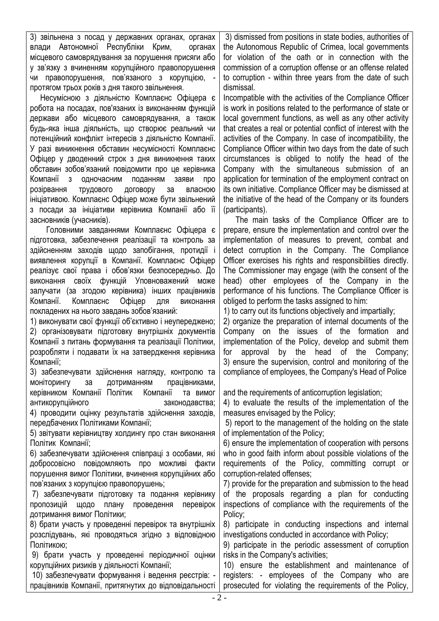3) звільнена з посад у державних органах, органах влади Автономної Республіки Крим, органах місцевого самоврядування за порушення присяги або у зв'язку з вчиненням корупційного правопорушення чи правопорушення, пов'язаного з корупцією, протягом трьох років з дня такого звільнення.

 Несумісною з діяльністю Комплаєнс Офіцера є робота на посадах, пов'язаних із виконанням функцій держави або місцевого самоврядування, а також будь-яка інша діяльність, що створює реальний чи потенційний конфлікт інтересів з діяльністю Компанії. У разі виникнення обставин несумісності Комплаєнс Офіцер у дводенний строк з дня виникнення таких обставин зобов'язаний повідомити про це керівника Компанії з одночасним поданням заяви про розірвання трудового договору за власною ініціативою. Комплаєнс Офіцер може бути звільнений з посади за ініціативи керівника Компанії або її засновників (учасників).

 Головними завданнями Комплаєнс Офіцера є підготовка, забезпечення реалізації та контроль за здійсненням заходів щодо запобігання, протидії і виявлення корупції в Компанії. Комплаєнс Офіцер реалізує свої права і обов'язки безпосередньо. До виконання своїх функцій Уповноважений може залучати (за згодою керівника) інших працівників Компанії. Комплаєнс Офіцер для виконання покладених на нього завдань зобов'язаний:

1) виконувати свої функції об'єктивно і неупереджено; 2) організовувати підготовку внутрішніх документів Компанії з питань формування та реалізації Політики, розробляти і подавати їх на затвердження керівника Компанії;

3) забезпечувати здійснення нагляду, контролю та моніторингу за дотриманням працівниками, керівником Компанії Політик Компанії та вимог антикорупційного законодавства; 4) проводити оцінку результатів здійснення заходів, передбачених Політиками Компанії;

5) звітувати керівництву холдингу про стан виконання Політик Компанії;

6) забезпечувати здійснення співпраці з особами, які добросовісно повідомляють про можливі факти порушення вимог Політики, вчинення корупційних або пов'язаних з корупцією правопорушень;

7) забезпечувати підготовку та подання керівнику пропозицій щодо плану проведення перевірок дотримання вимог Політики;

8) брати участь у проведенні перевірок та внутрішніх розслідувань, які проводяться згідно з відповідною Політикою;

9) брати участь у проведенні періодичної оцінки корупційних ризиків у діяльності Компанії;

10) забезпечувати формування і ведення реєстрів: працівників Компанії, притягнутих до відповідальності

3) dismissed from positions in state bodies, authorities of the Autonomous Republic of Crimea, local governments for violation of the oath or in connection with the commission of a corruption offense or an offense related to corruption - within three years from the date of such dismissal.

Incompatible with the activities of the Compliance Officer is work in positions related to the performance of state or local government functions, as well as any other activity that creates a real or potential conflict of interest with the activities of the Company. In case of incompatibility, the Compliance Officer within two days from the date of such circumstances is obliged to notify the head of the Company with the simultaneous submission of an application for termination of the employment contract on its own initiative. Compliance Officer may be dismissed at the initiative of the head of the Company or its founders (participants).

 The main tasks of the Compliance Officer are to prepare, ensure the implementation and control over the implementation of measures to prevent, combat and detect corruption in the Company. The Compliance Officer exercises his rights and responsibilities directly. The Commissioner may engage (with the consent of the head) other employees of the Company in the performance of his functions. The Compliance Officer is obliged to perform the tasks assigned to him:

1) to carry out its functions objectively and impartially;

2) organize the preparation of internal documents of the Company on the issues of the formation and implementation of the Policy, develop and submit them for approval by the head of the Company; 3) ensure the supervision, control and monitoring of the compliance of employees, the Company's Head of Police

and the requirements of anticorruption legislation;

4) to evaluate the results of the implementation of the measures envisaged by the Policy;

5) report to the management of the holding on the state of implementation of the Policy;

6) ensure the implementation of cooperation with persons who in good faith inform about possible violations of the requirements of the Policy, committing corrupt or corruption-related offenses;

7) provide for the preparation and submission to the head of the proposals regarding a plan for conducting inspections of compliance with the requirements of the Policy;

8) participate in conducting inspections and internal investigations conducted in accordance with Policy;

9) participate in the periodic assessment of corruption risks in the Company's activities;

10) ensure the establishment and maintenance of registers: - employees of the Company who are prosecuted for violating the requirements of the Policy,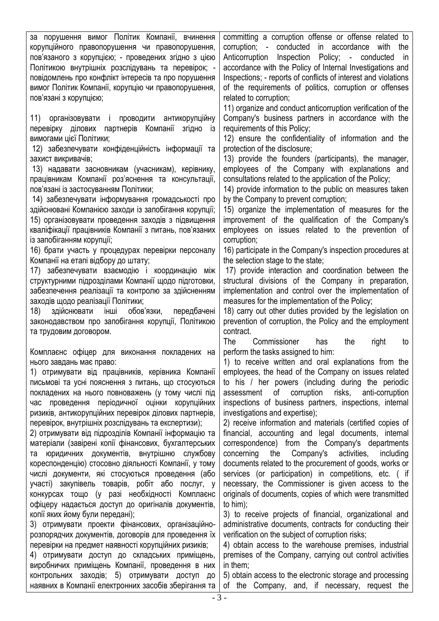за порушення вимог Політик Компанії, вчинення корупційного правопорушення чи правопорушення, пов'язаного з корупцією; - проведених згідно з цією Політикою внутрішніх розслідувань та перевірок; повідомлень про конфлікт інтересів та про порушення вимог Політик Компанії, корупцію чи правопорушення, пов'язані з корупцією;

11) організовувати і проводити антикорупційну перевірку ділових партнерів Компанії згідно із вимогами цієї Політики;

12) забезпечувати конфіденційність інформації та захист викривачів;

13) надавати засновникам (учасникам), керівнику, працівникам Компанії роз'яснення та консультації, пов'язані із застосуванням Політики;

14) забезпечувати інформування громадськості про здійснювані Компанією заходи із запобігання корупції; 15) організовувати проведення заходів з підвищення кваліфікації працівників Компанії з питань, пов'язаних із запобіганням корупції;

16) брати участь у процедурах перевірки персоналу Компанії на етапі відбору до штату;

17) забезпечувати взаємодію і координацію між структурними підрозділами Компанії щодо підготовки, забезпечення реалізації та контролю за здійсненням заходів щодо реалізації Політики;

18) здійснювати інші обов'язки, передбачені законодавством про запобігання корупції, Політикою та трудовим договором.

Комплаєнс офіцер для виконання покладених на нього завдань має право:

1) отримувати від працівників, керівника Компанії письмові та усні пояснення з питань, що стосуються покладених на нього повноважень (у тому числі під час проведення періодичної оцінки корупційних ризиків, антикорупційних перевірок ділових партнерів, перевірок, внутрішніх розслідувань та експертизи);

2) отримувати від підрозділів Компанії інформацію та матеріали (завірені копії фінансових, бухгалтерських та юридичних документів, внутрішню службову кореспонденцію) стосовно діяльності Компанії, у тому числі документи, які стосуються проведення (або участі) закупівель товарів, робіт або послуг, у конкурсах тощо (у разі необхідності Комплаєнс офіцеру надається доступ до оригіналів документів, копії яких йому були передані);

3) отримувати проекти фінансових, організаційнорозпорядчих документів, договорів для проведення їх перевірки на предмет наявності корупційних ризиків;

4) отримувати доступ до складських приміщень, виробничих приміщень Компанії, проведення в них контрольних заходів; 5) отримувати доступ до наявних в Компанії електронних засобів зберігання та

committing a corruption offense or offense related to corruption; - conducted in accordance with the Anticorruption Inspection Policy; - conducted in accordance with the Policy of Internal Investigations and Inspections; - reports of conflicts of interest and violations of the requirements of politics, corruption or offenses related to corruption;

11) organize and conduct anticorruption verification of the Company's business partners in accordance with the requirements of this Policy;

12) ensure the confidentiality of information and the protection of the disclosure;

13) provide the founders (participants), the manager, employees of the Company with explanations and consultations related to the application of the Policy;

14) provide information to the public on measures taken by the Company to prevent corruption;

15) organize the implementation of measures for the improvement of the qualification of the Company's employees on issues related to the prevention of corruption;

16) participate in the Company's inspection procedures at the selection stage to the state;

17) provide interaction and coordination between the structural divisions of the Company in preparation, implementation and control over the implementation of measures for the implementation of the Policy;

18) carry out other duties provided by the legislation on prevention of corruption, the Policy and the employment contract.

The Commissioner has the right to perform the tasks assigned to him:

1) to receive written and oral explanations from the employees, the head of the Company on issues related to his / her powers (including during the periodic assessment of corruption risks, anti-corruption inspections of business partners, inspections, internal investigations and expertise);

2) receive information and materials (certified copies of financial, accounting and legal documents, internal correspondence) from the Company's departments concerning the Company's activities, including documents related to the procurement of goods, works or services (or participation) in competitions, etc. ( if necessary, the Commissioner is given access to the originals of documents, copies of which were transmitted to him);

3) to receive projects of financial, organizational and administrative documents, contracts for conducting their verification on the subject of corruption risks;

4) obtain access to the warehouse premises, industrial premises of the Company, carrying out control activities in them;

5) obtain access to the electronic storage and processing of the Company, and, if necessary, request the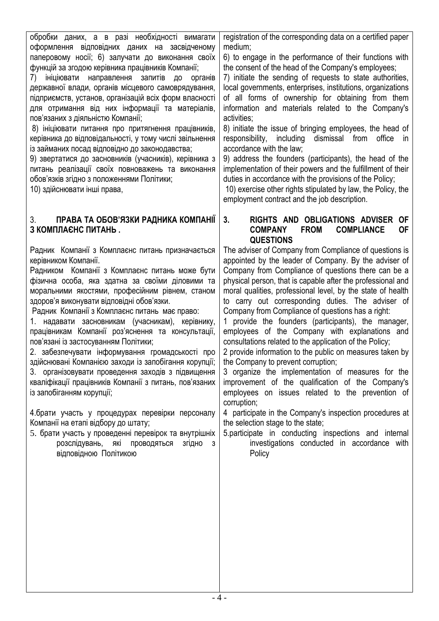обробки даних, а в разі необхідності вимагати оформлення відповідних даних на засвідченому паперовому носії; 6) залучати до виконання своїх функцій за згодою керівника працівників Компанії;

7) ініціювати направлення запитів до органів державної влади, органів місцевого самоврядування, підприємств, установ, організацій всіх форм власності для отримання від них інформації та матеріалів, пов'язаних з діяльністю Компанії;

8) ініціювати питання про притягнення працівників, керівника до відповідальності, у тому числі звільнення із займаних посад відповідно до законодавства;

9) звертатися до засновників (учасників), керівника з питань реалізації своїх повноважень та виконання обов'язків згідно з положеннями Політики;

10) здійснювати інші права,

## 3. **ПРАВА ТА ОБОВ'ЯЗКИ РАДНИКА КОМПАНІЇ З КОМПЛАЄНС ПИТАНЬ .**

Радник Компанії з Комплаєнс питань призначається керівником Компанії.

Радником Компанії з Комплаєнс питань може бути фізична особа, яка здатна за своїми діловими та моральними якостями, професійним рівнем, станом здоров'я виконувати відповідні обов'язки.

Радник Компанії з Комплаєнс питань має право:

1. надавати засновникам (учасникам), керівнику, працівникам Компанії роз'яснення та консультації, пов'язані із застосуванням Політики;

2. забезпечувати інформування громадськості про здійснювані Компанією заходи із запобігання корупції; 3. організовувати проведення заходів з підвищення кваліфікації працівників Компанії з питань, пов'язаних із запобіганням корупції;

4.брати участь у процедурах перевірки персоналу Компанії на етапі відбору до штату;

5. брати участь у проведенні перевірок та внутрішніх розслідувань, які проводяться згідно з відповідною Політикою

registration of the corresponding data on a certified paper medium;

6) to engage in the performance of their functions with the consent of the head of the Company's employees;

7) initiate the sending of requests to state authorities, local governments, enterprises, institutions, organizations of all forms of ownership for obtaining from them information and materials related to the Company's activities;

8) initiate the issue of bringing employees, the head of responsibility, including dismissal from office in accordance with the law;

9) address the founders (participants), the head of the implementation of their powers and the fulfillment of their duties in accordance with the provisions of the Policy;

10) exercise other rights stipulated by law, the Policy, the employment contract and the job description.

## **3. RIGHTS AND OBLIGATIONS ADVISER OF COMPANY FROM COMPLIANCE OF QUESTIONS**

The adviser of Company from Compliance of questions is appointed by the leader of Company. By the adviser of Company from Compliance of questions there can be a physical person, that is capable after the professional and moral qualities, professional level, by the state of health to carry out corresponding duties. The adviser of Company from Compliance of questions has a right:

1 provide the founders (participants), the manager, employees of the Company with explanations and consultations related to the application of the Policy;

2 provide information to the public on measures taken by the Company to prevent corruption;

3 organize the implementation of measures for the improvement of the qualification of the Company's employees on issues related to the prevention of corruption;

4 participate in the Company's inspection procedures at the selection stage to the state;

5.participate in conducting inspections and internal investigations conducted in accordance with **Policy**